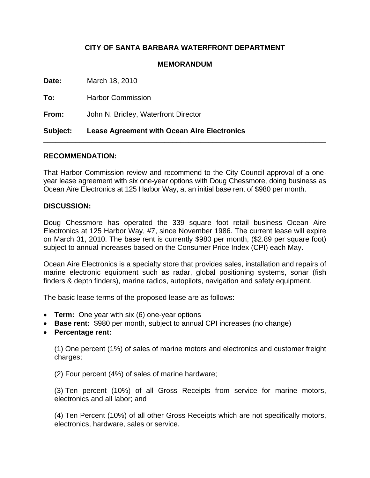## **CITY OF SANTA BARBARA WATERFRONT DEPARTMENT**

## **MEMORANDUM**

| <b>Subject:</b> | <b>Lease Agreement with Ocean Aire Electronics</b> |
|-----------------|----------------------------------------------------|
| From:           | John N. Bridley, Waterfront Director               |
| To:             | <b>Harbor Commission</b>                           |
| <b>Date:</b>    | March 18, 2010                                     |

## **RECOMMENDATION:**

That Harbor Commission review and recommend to the City Council approval of a oneyear lease agreement with six one-year options with Doug Chessmore, doing business as Ocean Aire Electronics at 125 Harbor Way, at an initial base rent of \$980 per month.

## **DISCUSSION:**

Doug Chessmore has operated the 339 square foot retail business Ocean Aire Electronics at 125 Harbor Way, #7, since November 1986. The current lease will expire on March 31, 2010. The base rent is currently \$980 per month, (\$2.89 per square foot) subject to annual increases based on the Consumer Price Index (CPI) each May.

Ocean Aire Electronics is a specialty store that provides sales, installation and repairs of marine electronic equipment such as radar, global positioning systems, sonar (fish finders & depth finders), marine radios, autopilots, navigation and safety equipment.

The basic lease terms of the proposed lease are as follows:

- **Term:** One year with six (6) one-year options
- **Base rent:** \$980 per month, subject to annual CPI increases (no change)
- **Percentage rent:**

 (1) One percent (1%) of sales of marine motors and electronics and customer freight charges;

(2) Four percent (4%) of sales of marine hardware;

 (3) Ten percent (10%) of all Gross Receipts from service for marine motors, electronics and all labor; and

 (4) Ten Percent (10%) of all other Gross Receipts which are not specifically motors, electronics, hardware, sales or service.